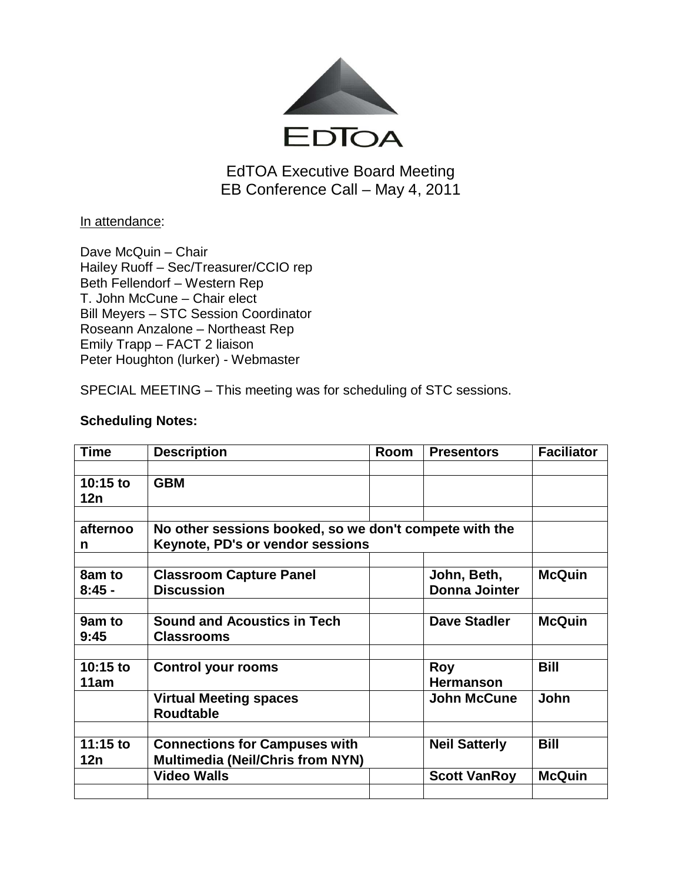

EdTOA Executive Board Meeting EB Conference Call – May 4, 2011

In attendance:

Dave McQuin – Chair Hailey Ruoff – Sec/Treasurer/CCIO rep Beth Fellendorf – Western Rep T. John McCune – Chair elect Bill Meyers – STC Session Coordinator Roseann Anzalone – Northeast Rep Emily Trapp – FACT 2 liaison Peter Houghton (lurker) - Webmaster

SPECIAL MEETING – This meeting was for scheduling of STC sessions.

| <b>Time</b>        | <b>Description</b>                                                                         | <b>Room</b> | <b>Presentors</b>                   | <b>Faciliator</b> |  |
|--------------------|--------------------------------------------------------------------------------------------|-------------|-------------------------------------|-------------------|--|
| 10:15 to<br>12n    | <b>GBM</b>                                                                                 |             |                                     |                   |  |
| afternoo<br>n      | No other sessions booked, so we don't compete with the<br>Keynote, PD's or vendor sessions |             |                                     |                   |  |
| 8am to<br>$8:45 -$ | <b>Classroom Capture Panel</b><br><b>Discussion</b>                                        |             | John, Beth,<br><b>Donna Jointer</b> | <b>McQuin</b>     |  |
| 9am to<br>9:45     | <b>Sound and Acoustics in Tech</b><br><b>Classrooms</b>                                    |             | <b>Dave Stadler</b>                 | <b>McQuin</b>     |  |
| 10:15 to<br>11am   | <b>Control your rooms</b>                                                                  |             | <b>Roy</b><br><b>Hermanson</b>      | <b>Bill</b>       |  |
|                    | <b>Virtual Meeting spaces</b><br><b>Roudtable</b>                                          |             | <b>John McCune</b>                  | John              |  |
| 11:15 to<br>12n    | <b>Connections for Campuses with</b><br><b>Multimedia (Neil/Chris from NYN)</b>            |             | <b>Neil Satterly</b>                | <b>Bill</b>       |  |
|                    | <b>Video Walls</b>                                                                         |             | <b>Scott VanRoy</b>                 | <b>McQuin</b>     |  |

## **Scheduling Notes:**